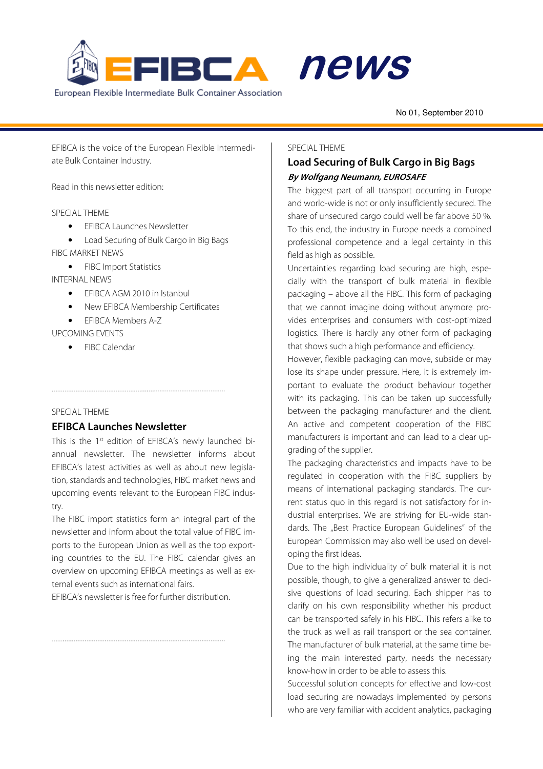



No 01, September 2010 alert de la provincia de la provincia de la provincia de la provincia de la provincia de la provincia de la pr<br>La provincia de la provincia de la provincia de la provincia de la provincia de la provincia de la provincia d

EFIBCA is the voice of the European Flexible Intermediate Bulk Container Industry.

Read in this newsletter edition:

### SPECIAL THEME

- EFIBCA Launches Newsletter
- Load Securing of Bulk Cargo in Big Bags
- FIBC MARKET NEWS
	- FIBC Import Statistics

INTERNAL NEWS

- EFIBCA AGM 2010 in Istanbul
- New EFIBCA Membership Certificates

• EFIBCA Members A-Z

### UPCOMING EVENTS

• FIBC Calendar

#### SPECIAL THEME

# **EFIBCA Launches Newsletter**

This is the 1<sup>st</sup> edition of EFIBCA's newly launched biannual newsletter. The newsletter informs about EFIBCA's latest activities as well as about new legislation, standards and technologies, FIBC market news and upcoming events relevant to the European FIBC industry.

The FIBC import statistics form an integral part of the newsletter and inform about the total value of FIBC imports to the European Union as well as the top exporting countries to the EU. The FIBC calendar gives an overview on upcoming EFIBCA meetings as well as external events such as international fairs.

EFIBCA's newsletter is free for further distribution.

### SPECIAL THEME

# **Load Securing of Bulk Cargo in Big Bags By Wolfgang Neumann, EUROSAFE**

The biggest part of all transport occurring in Europe and world-wide is not or only insufficiently secured. The share of unsecured cargo could well be far above 50 %. To this end, the industry in Europe needs a combined professional competence and a legal certainty in this field as high as possible.

Uncertainties regarding load securing are high, especially with the transport of bulk material in flexible packaging – above all the FIBC. This form of packaging that we cannot imagine doing without anymore provides enterprises and consumers with cost-optimized logistics. There is hardly any other form of packaging that shows such a high performance and efficiency.

However, flexible packaging can move, subside or may lose its shape under pressure. Here, it is extremely important to evaluate the product behaviour together with its packaging. This can be taken up successfully between the packaging manufacturer and the client. An active and competent cooperation of the FIBC manufacturers is important and can lead to a clear upgrading of the supplier.

The packaging characteristics and impacts have to be regulated in cooperation with the FIBC suppliers by means of international packaging standards. The current status quo in this regard is not satisfactory for industrial enterprises. We are striving for EU-wide standards. The "Best Practice European Guidelines" of the European Commission may also well be used on developing the first ideas.

Due to the high individuality of bulk material it is not possible, though, to give a generalized answer to decisive questions of load securing. Each shipper has to clarify on his own responsibility whether his product can be transported safely in his FIBC. This refers alike to the truck as well as rail transport or the sea container. The manufacturer of bulk material, at the same time being the main interested party, needs the necessary know-how in order to be able to assess this.

Successful solution concepts for effective and low-cost load securing are nowadays implemented by persons who are very familiar with accident analytics, packaging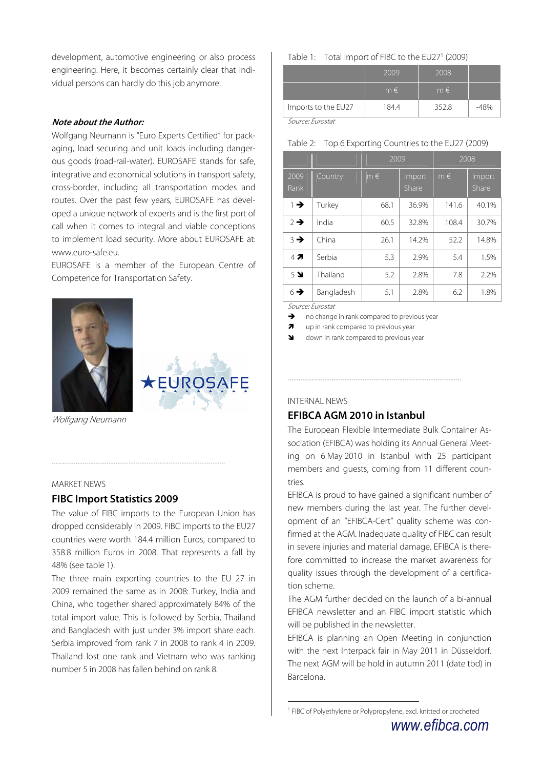development, automotive engineering or also process engineering. Here, it becomes certainly clear that individual persons can hardly do this job anymore.

#### **Note about the Author:**

Wolfgang Neumann is "Euro Experts Certified" for packaging, load securing and unit loads including dangerous goods (road-rail-water). EUROSAFE stands for safe, integrative and economical solutions in transport safety, cross-border, including all transportation modes and routes. Over the past few years, EUROSAFE has developed a unique network of experts and is the first port of call when it comes to integral and viable conceptions to implement load security. More about EUROSAFE at: www.euro-safe.eu.

EUROSAFE is a member of the European Centre of Competence for Transportation Safety.





Wolfgang Neumann

#### MARKET NEWS

### **FIBC Import Statistics 2009**

The value of FIBC imports to the European Union has dropped considerably in 2009. FIBC imports to the EU27 countries were worth 184.4 million Euros, compared to 358.8 million Euros in 2008. That represents a fall by 48% (see table 1).

The three main exporting countries to the EU 27 in 2009 remained the same as in 2008: Turkey, India and China, who together shared approximately 84% of the total import value. This is followed by Serbia, Thailand and Bangladesh with just under 3% import share each. Serbia improved from rank 7 in 2008 to rank 4 in 2009. Thailand lost one rank and Vietnam who was ranking number 5 in 2008 has fallen behind on rank 8.

Table 1: Total Import of FIBC to the EU27<sup>1</sup> (2009)

|                          | 2009    | 2008    |     |
|--------------------------|---------|---------|-----|
|                          | $m \in$ | $m \in$ |     |
| Imports to the EU27      | 184.4   | 352.8   | 18% |
| $\sim$<br>$\overline{ }$ |         |         |     |

Source: Eurostat

|  | Table 2: Top 6 Exporting Countries to the EU27 (2009) |  |
|--|-------------------------------------------------------|--|
|  |                                                       |  |

|                 |            | 2009    |                 | 2008    |                        |
|-----------------|------------|---------|-----------------|---------|------------------------|
| 2009<br>Rank    | Country    | $m \in$ | Import<br>Share | $m \in$ | Import<br><b>Share</b> |
| $\rightarrow$   | Turkey     | 68.1    | 36.9%           | 141.6   | 40.1%                  |
| $2 \rightarrow$ | India      | 60.5    | 32.8%           | 108.4   | 30.7%                  |
| $3 \rightarrow$ | China      | 26.1    | 14.2%           | 52.2    | 14.8%                  |
| 47              | Serbia     | 5.3     | 2.9%            | 5.4     | 1.5%                   |
| 5 <sup>2</sup>  | Thailand   | 5.2     | 2.8%            | 7.8     | 2.2%                   |
| $6 \rightarrow$ | Bangladesh | 5.1     | 2.8%            | 6.2     | 1.8%                   |

Source: Eurostat

 $\rightarrow$  no change in rank compared to previous year

 $\overline{\mathbf{z}}$ up in rank compared to previous year

down in rank compared to previous year

#### INTERNAL NEWS

 $\overline{a}$ 

### **EFIBCA AGM 2010 in Istanbul**

The European Flexible Intermediate Bulk Container Association (EFIBCA) was holding its Annual General Meeting on 6 May 2010 in Istanbul with 25 participant members and guests, coming from 11 different countries.

EFIBCA is proud to have gained a significant number of new members during the last year. The further development of an "EFIBCA-Cert" quality scheme was confirmed at the AGM. Inadequate quality of FIBC can result in severe injuries and material damage. EFIBCA is therefore committed to increase the market awareness for quality issues through the development of a certification scheme.

The AGM further decided on the launch of a bi-annual EFIBCA newsletter and an FIBC import statistic which will be published in the newsletter.

EFIBCA is planning an Open Meeting in conjunction with the next Interpack fair in May 2011 in Düsseldorf. The next AGM will be hold in autumn 2011 (date tbd) in Barcelona.

<sup>1</sup> FIBC of Polyethylene or Polypropylene, excl. knitted or crocheted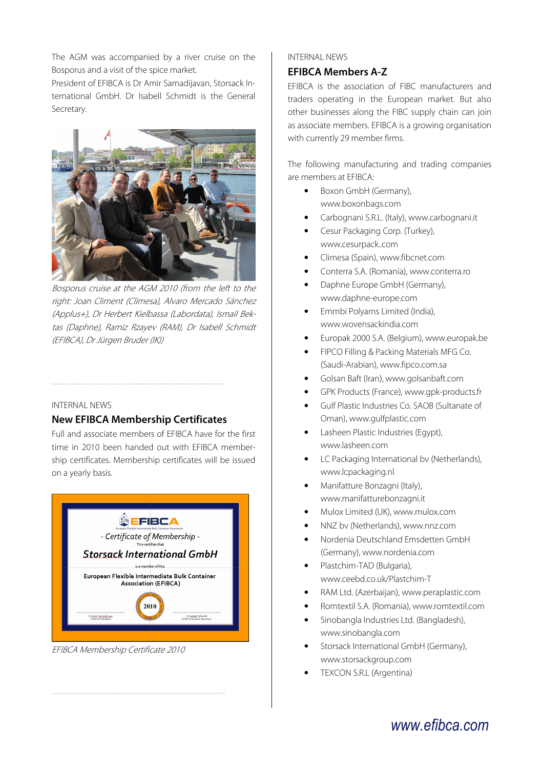The AGM was accompanied by a river cruise on the Bosporus and a visit of the spice market.

President of EFIBCA is Dr Amir Samadijavan, Storsack International GmbH. Dr Isabell Schmidt is the General Secretary.



Bosporus cruise at the AGM 2010 (from the left to the right: Joan Climent (Climesa), Alvaro Mercado Sánchez (Applus+), Dr Herbert Kielbassa (Labordata), Ismail Bektas (Daphne), Ramiz Rzayev (RAM), Dr Isabell Schmidt (EFIBCA), Dr Jürgen Bruder (IK))

#### INTERNAL NEWS

### **New EFIBCA Membership Certificates**

Full and associate members of EFIBCA have for the first time in 2010 been handed out with EFIBCA membership certificates. Membership certificates will be issued on a yearly basis.



EFIBCA Membership Certificate 2010

### INTERNAL NEWS

### **EFIBCA Members A-Z**

EFIBCA is the association of FIBC manufacturers and traders operating in the European market. But also other businesses along the FIBC supply chain can join as associate members. EFIBCA is a growing organisation with currently 29 member firms.

The following manufacturing and trading companies are members at EFIBCA:

- Boxon GmbH (Germany), www.boxonbags.com
- Carbognani S.R.L. (Italy), www.carbognani.it
- Cesur Packaging Corp. (Turkey), www.cesurpack..com
- Climesa (Spain), www.fibcnet.com
- Conterra S.A. (Romania), www.conterra.ro
- Daphne Europe GmbH (Germany), www.daphne-europe.com
- Emmbi Polyarns Limited (India), www.wovensackindia.com
- Europak 2000 S.A. (Belgium), www.europak.be
- FIPCO Filling & Packing Materials MFG Co. (Saudi-Arabian), www.fipco.com.sa
- Golsan Baft (Iran), www.golsanbaft.com
- GPK Products (France), www.gpk-products.fr
- Gulf Plastic Industries Co. SAOB (Sultanate of Oman), www.gulfplastic.com
- Lasheen Plastic Industries (Egypt), www.lasheen.com
- LC Packaging International bv (Netherlands), www.lcpackaging.nl
- Manifatture Bonzagni (Italy), www.manifatturebonzagni.it
- Mulox Limited (UK), www.mulox.com
- NNZ bv (Netherlands), www.nnz.com
- Nordenia Deutschland Emsdetten GmbH (Germany), www.nordenia.com
- Plastchim-TAD (Bulgaria), www.ceebd.co.uk/Plastchim-T
- RAM Ltd. (Azerbaijan), www.peraplastic.com
- Romtextil S.A. (Romania), www.romtextil.com
- Sinobangla Industries Ltd. (Bangladesh), www.sinobangla.com
- Storsack International GmbH (Germany), www.storsackgroup.com
- TEXCON S.R.L (Argentina)